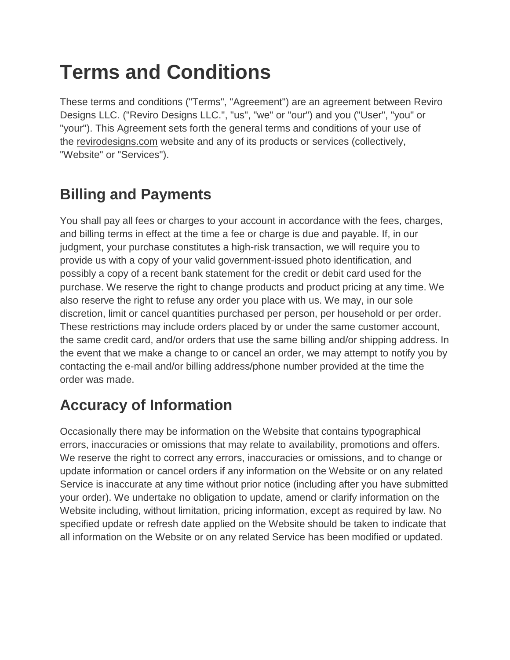# **Terms and Conditions**

These terms and conditions ("Terms", "Agreement") are an agreement between Reviro Designs LLC. ("Reviro Designs LLC.", "us", "we" or "our") and you ("User", "you" or "your"). This Agreement sets forth the general terms and conditions of your use of the [revirodesigns.com](https://www.revirodesigns.com/) website and any of its products or services (collectively, "Website" or "Services").

# **Billing and Payments**

You shall pay all fees or charges to your account in accordance with the fees, charges, and billing terms in effect at the time a fee or charge is due and payable. If, in our judgment, your purchase constitutes a high-risk transaction, we will require you to provide us with a copy of your valid government-issued photo identification, and possibly a copy of a recent bank statement for the credit or debit card used for the purchase. We reserve the right to change products and product pricing at any time. We also reserve the right to refuse any order you place with us. We may, in our sole discretion, limit or cancel quantities purchased per person, per household or per order. These restrictions may include orders placed by or under the same customer account, the same credit card, and/or orders that use the same billing and/or shipping address. In the event that we make a change to or cancel an order, we may attempt to notify you by contacting the e-mail and/or billing address/phone number provided at the time the order was made.

#### **Accuracy of Information**

Occasionally there may be information on the Website that contains typographical errors, inaccuracies or omissions that may relate to availability, promotions and offers. We reserve the right to correct any errors, inaccuracies or omissions, and to change or update information or cancel orders if any information on the Website or on any related Service is inaccurate at any time without prior notice (including after you have submitted your order). We undertake no obligation to update, amend or clarify information on the Website including, without limitation, pricing information, except as required by law. No specified update or refresh date applied on the Website should be taken to indicate that all information on the Website or on any related Service has been modified or updated.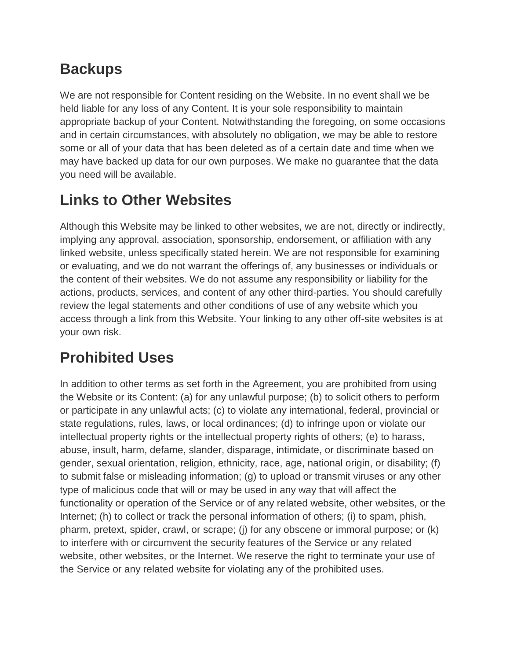## **Backups**

We are not responsible for Content residing on the Website. In no event shall we be held liable for any loss of any Content. It is your sole responsibility to maintain appropriate backup of your Content. Notwithstanding the foregoing, on some occasions and in certain circumstances, with absolutely no obligation, we may be able to restore some or all of your data that has been deleted as of a certain date and time when we may have backed up data for our own purposes. We make no guarantee that the data you need will be available.

## **Links to Other Websites**

Although this Website may be linked to other websites, we are not, directly or indirectly, implying any approval, association, sponsorship, endorsement, or affiliation with any linked website, unless specifically stated herein. We are not responsible for examining or evaluating, and we do not warrant the offerings of, any businesses or individuals or the content of their websites. We do not assume any responsibility or liability for the actions, products, services, and content of any other third-parties. You should carefully review the legal statements and other conditions of use of any website which you access through a link from this Website. Your linking to any other off-site websites is at your own risk.

## **Prohibited Uses**

In addition to other terms as set forth in the Agreement, you are prohibited from using the Website or its Content: (a) for any unlawful purpose; (b) to solicit others to perform or participate in any unlawful acts; (c) to violate any international, federal, provincial or state regulations, rules, laws, or local ordinances; (d) to infringe upon or violate our intellectual property rights or the intellectual property rights of others; (e) to harass, abuse, insult, harm, defame, slander, disparage, intimidate, or discriminate based on gender, sexual orientation, religion, ethnicity, race, age, national origin, or disability; (f) to submit false or misleading information; (g) to upload or transmit viruses or any other type of malicious code that will or may be used in any way that will affect the functionality or operation of the Service or of any related website, other websites, or the Internet; (h) to collect or track the personal information of others; (i) to spam, phish, pharm, pretext, spider, crawl, or scrape; (j) for any obscene or immoral purpose; or (k) to interfere with or circumvent the security features of the Service or any related website, other websites, or the Internet. We reserve the right to terminate your use of the Service or any related website for violating any of the prohibited uses.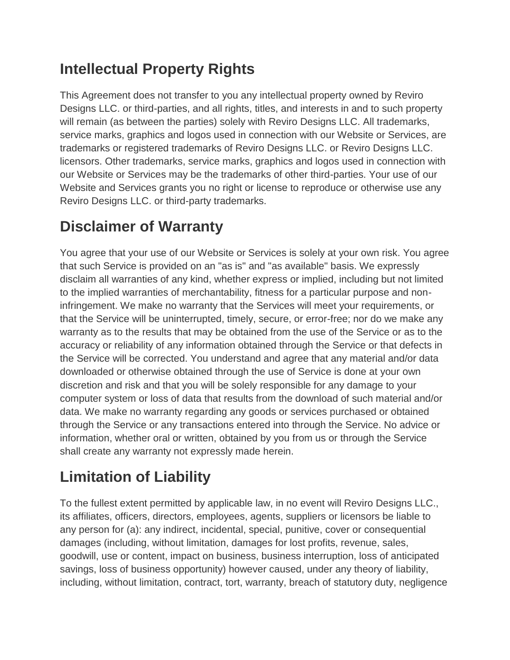## **Intellectual Property Rights**

This Agreement does not transfer to you any intellectual property owned by Reviro Designs LLC. or third-parties, and all rights, titles, and interests in and to such property will remain (as between the parties) solely with Reviro Designs LLC. All trademarks, service marks, graphics and logos used in connection with our Website or Services, are trademarks or registered trademarks of Reviro Designs LLC. or Reviro Designs LLC. licensors. Other trademarks, service marks, graphics and logos used in connection with our Website or Services may be the trademarks of other third-parties. Your use of our Website and Services grants you no right or license to reproduce or otherwise use any Reviro Designs LLC. or third-party trademarks.

## **Disclaimer of Warranty**

You agree that your use of our Website or Services is solely at your own risk. You agree that such Service is provided on an "as is" and "as available" basis. We expressly disclaim all warranties of any kind, whether express or implied, including but not limited to the implied warranties of merchantability, fitness for a particular purpose and noninfringement. We make no warranty that the Services will meet your requirements, or that the Service will be uninterrupted, timely, secure, or error-free; nor do we make any warranty as to the results that may be obtained from the use of the Service or as to the accuracy or reliability of any information obtained through the Service or that defects in the Service will be corrected. You understand and agree that any material and/or data downloaded or otherwise obtained through the use of Service is done at your own discretion and risk and that you will be solely responsible for any damage to your computer system or loss of data that results from the download of such material and/or data. We make no warranty regarding any goods or services purchased or obtained through the Service or any transactions entered into through the Service. No advice or information, whether oral or written, obtained by you from us or through the Service shall create any warranty not expressly made herein.

# **Limitation of Liability**

To the fullest extent permitted by applicable law, in no event will Reviro Designs LLC., its affiliates, officers, directors, employees, agents, suppliers or licensors be liable to any person for (a): any indirect, incidental, special, punitive, cover or consequential damages (including, without limitation, damages for lost profits, revenue, sales, goodwill, use or content, impact on business, business interruption, loss of anticipated savings, loss of business opportunity) however caused, under any theory of liability, including, without limitation, contract, tort, warranty, breach of statutory duty, negligence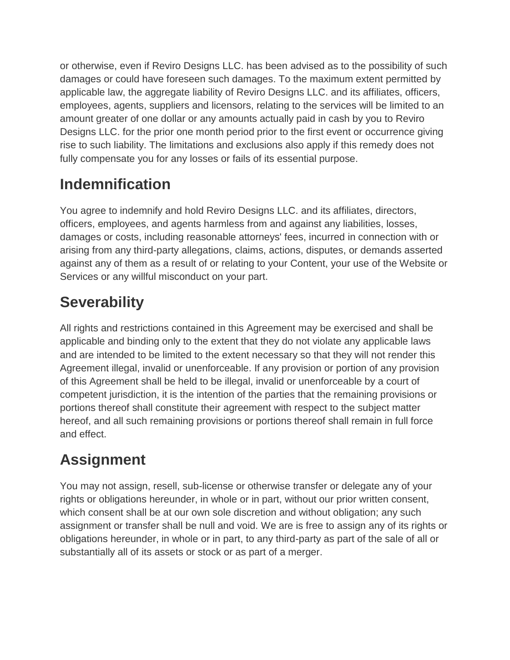or otherwise, even if Reviro Designs LLC. has been advised as to the possibility of such damages or could have foreseen such damages. To the maximum extent permitted by applicable law, the aggregate liability of Reviro Designs LLC. and its affiliates, officers, employees, agents, suppliers and licensors, relating to the services will be limited to an amount greater of one dollar or any amounts actually paid in cash by you to Reviro Designs LLC. for the prior one month period prior to the first event or occurrence giving rise to such liability. The limitations and exclusions also apply if this remedy does not fully compensate you for any losses or fails of its essential purpose.

## **Indemnification**

You agree to indemnify and hold Reviro Designs LLC. and its affiliates, directors, officers, employees, and agents harmless from and against any liabilities, losses, damages or costs, including reasonable attorneys' fees, incurred in connection with or arising from any third-party allegations, claims, actions, disputes, or demands asserted against any of them as a result of or relating to your Content, your use of the Website or Services or any willful misconduct on your part.

# **Severability**

All rights and restrictions contained in this Agreement may be exercised and shall be applicable and binding only to the extent that they do not violate any applicable laws and are intended to be limited to the extent necessary so that they will not render this Agreement illegal, invalid or unenforceable. If any provision or portion of any provision of this Agreement shall be held to be illegal, invalid or unenforceable by a court of competent jurisdiction, it is the intention of the parties that the remaining provisions or portions thereof shall constitute their agreement with respect to the subject matter hereof, and all such remaining provisions or portions thereof shall remain in full force and effect.

# **Assignment**

You may not assign, resell, sub-license or otherwise transfer or delegate any of your rights or obligations hereunder, in whole or in part, without our prior written consent, which consent shall be at our own sole discretion and without obligation; any such assignment or transfer shall be null and void. We are is free to assign any of its rights or obligations hereunder, in whole or in part, to any third-party as part of the sale of all or substantially all of its assets or stock or as part of a merger.